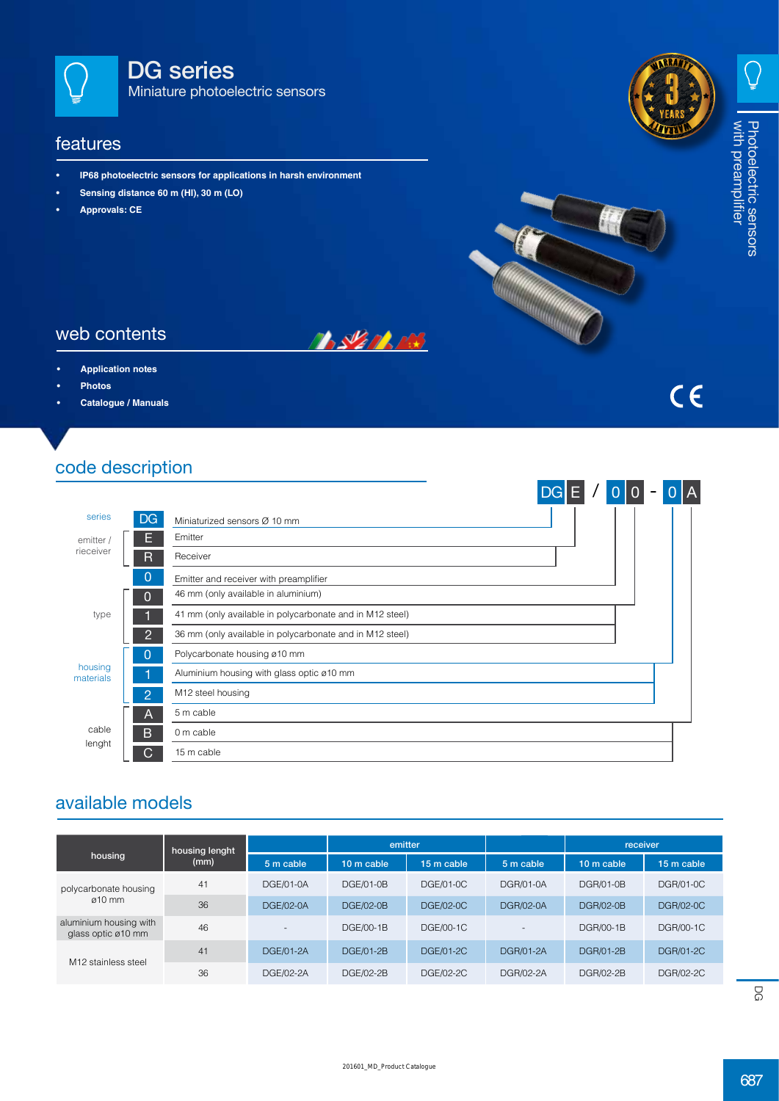

#### features

- **• IP68 photoelectric sensors for applications in harsh environment**
- **• Sensing distance 60 m (HI), 30 m (LO)**
- **• Approvals: CE**





 $\overline{Q}$ 



#### web contents

- **• Application notes**
- **• Photos**
- **• Catalogue / Manuals**

# $C \in$

## code description

|                        |                |                                                          | JG |  |  |
|------------------------|----------------|----------------------------------------------------------|----|--|--|
| series                 | <b>DG</b>      | Miniaturized sensors Ø 10 mm                             |    |  |  |
| emitter /<br>rieceiver | Е              | Emitter                                                  |    |  |  |
|                        | $\mathsf{R}$   | Receiver                                                 |    |  |  |
|                        | 0              | Emitter and receiver with preamplifier                   |    |  |  |
| type                   | 0              | 46 mm (only available in aluminium)                      |    |  |  |
|                        |                | 41 mm (only available in polycarbonate and in M12 steel) |    |  |  |
|                        | $\overline{c}$ | 36 mm (only available in polycarbonate and in M12 steel) |    |  |  |
| housing<br>materials   | $\mathbf 0$    | Polycarbonate housing ø10 mm                             |    |  |  |
|                        |                | Aluminium housing with glass optic ø10 mm                |    |  |  |
|                        | $\overline{2}$ | M12 steel housing                                        |    |  |  |
| cable<br>lenght        | A              | 5 m cable                                                |    |  |  |
|                        | B              | 0 m cable                                                |    |  |  |
|                        | C.             | 15 m cable                                               |    |  |  |

**BALLARY** 

#### available models

|                                              | housing lenght<br>(mm) |                          | emitter          |                  |                          | receiver         |                  |  |
|----------------------------------------------|------------------------|--------------------------|------------------|------------------|--------------------------|------------------|------------------|--|
| housing                                      |                        | 5 m cable                | 10 m cable       | 15 m cable       | 5 m cable                | 10 m cable       | 15 m cable       |  |
| polycarbonate housing                        | 41                     | DGE/01-0A                | <b>DGE/01-0B</b> | DGE/01-0C        | DGR/01-0A                | DGR/01-0B        | <b>DGR/01-0C</b> |  |
| $\alpha$ 10 mm                               | 36                     | DGE/02-0A                | <b>DGE/02-0B</b> | DGE/02-0C        | DGR/02-0A                | <b>DGR/02-0B</b> | <b>DGR/02-0C</b> |  |
| aluminium housing with<br>glass optic ø10 mm | 46                     | $\overline{\phantom{a}}$ | <b>DGE/00-1B</b> | DGE/00-1C        | $\overline{\phantom{a}}$ | DGR/00-1B        | DGR/00-1C        |  |
|                                              | 41                     | <b>DGE/01-2A</b>         | <b>DGE/01-2B</b> | <b>DGE/01-2C</b> | <b>DGR/01-2A</b>         | <b>DGR/01-2B</b> | <b>DGR/01-2C</b> |  |
| M <sub>12</sub> stainless steel              | 36                     | DGE/02-2A                | <b>DGE/02-2B</b> | DGE/02-2C        | DGR/02-2A                | DGR/02-2B        | DGR/02-2C        |  |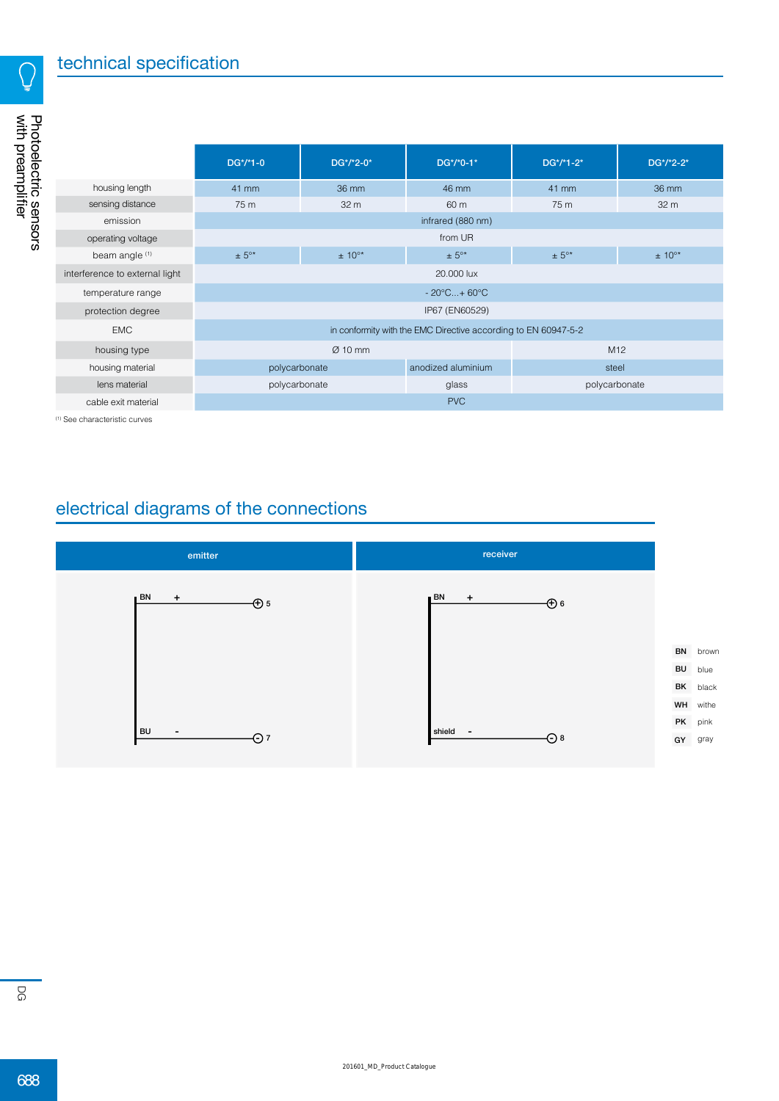

|                                | $DG*/1-0$                                                      | DG*/*2-0*       | DG*/*0-1*                         | DG*/*1-2*        | DG*/*2-2*       |  |
|--------------------------------|----------------------------------------------------------------|-----------------|-----------------------------------|------------------|-----------------|--|
| housing length                 | 41 mm                                                          | 36 mm           | 46 mm                             | 41 mm            | 36 mm           |  |
| sensing distance               | 75 m                                                           | 32 <sub>m</sub> | 60 m                              | 75 m             | 32 <sub>m</sub> |  |
| emission                       |                                                                |                 | infrared (880 nm)                 |                  |                 |  |
| operating voltage              |                                                                |                 | from UR                           |                  |                 |  |
| beam angle (1)                 | $\pm 5^{\circ*}$                                               | $± 10o*$        | $\pm 5^{\circ*}$                  | $\pm 5^{\circ*}$ | $± 10o*$        |  |
| interference to external light |                                                                |                 | 20,000 lux                        |                  |                 |  |
| temperature range              |                                                                |                 | $-20^{\circ}$ C + 60 $^{\circ}$ C |                  |                 |  |
| protection degree              |                                                                |                 | IP67 (EN60529)                    |                  |                 |  |
| <b>EMC</b>                     | in conformity with the EMC Directive according to EN 60947-5-2 |                 |                                   |                  |                 |  |
| housing type                   |                                                                | $Ø$ 10 mm       |                                   | M <sub>12</sub>  |                 |  |
| housing material               | polycarbonate                                                  |                 | anodized aluminium                | steel            |                 |  |
| lens material                  | polycarbonate                                                  |                 | glass                             | polycarbonate    |                 |  |
| cable exit material            |                                                                |                 | <b>PVC</b>                        |                  |                 |  |

(1) See characteristic curves

## electrical diagrams of the connections

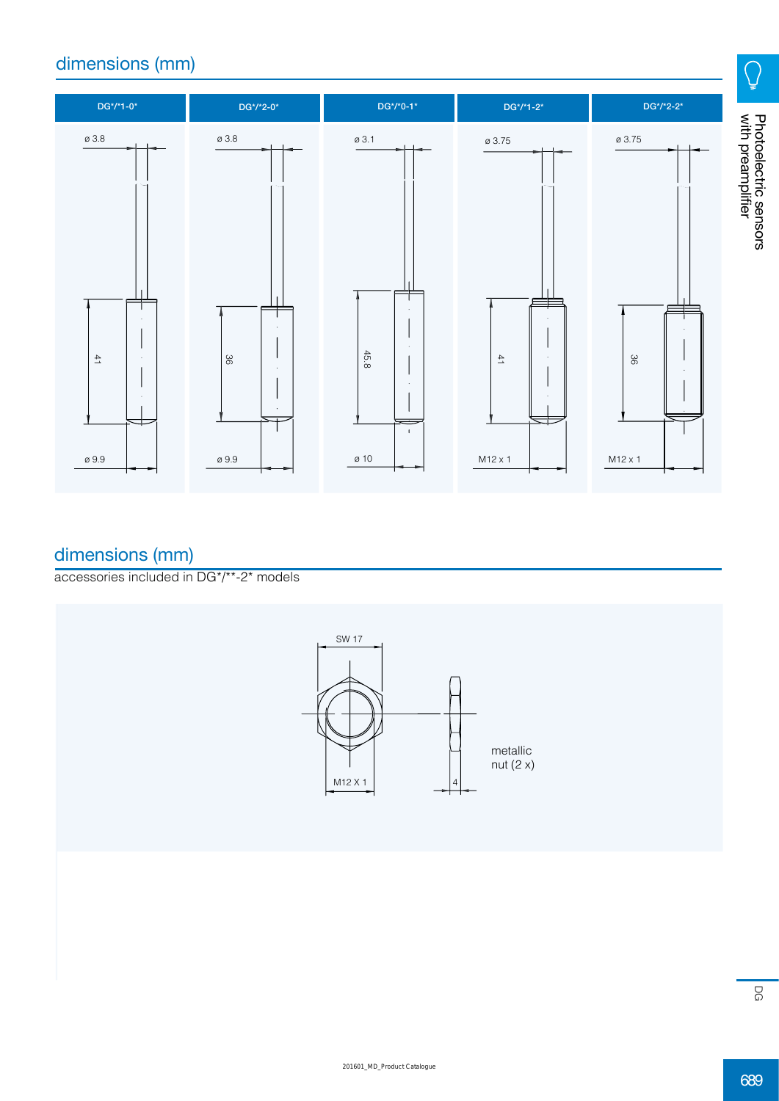### dimensions (mm)



## dimensions (mm)

accessories included in DG\*/\*\*-2\* models



 $\bigcirc$